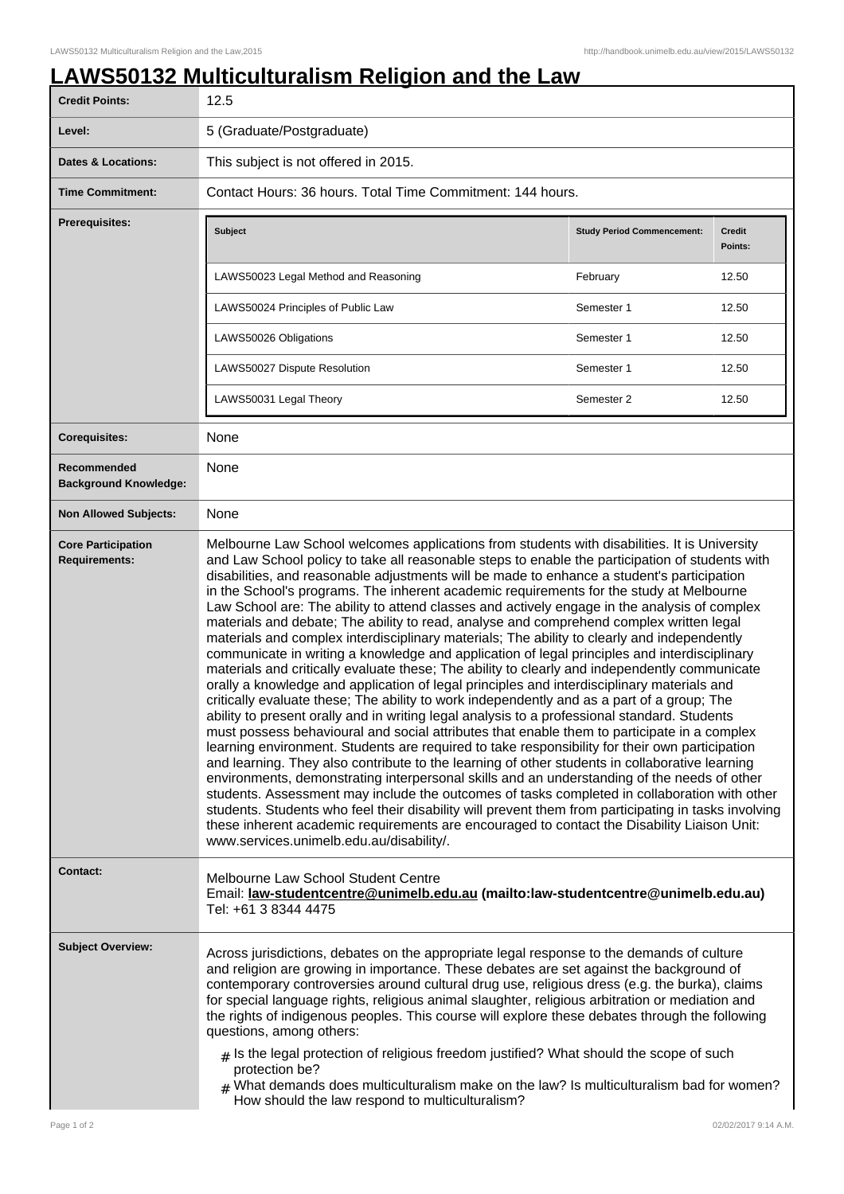## **LAWS50132 Multiculturalism Religion and the Law**

| <b>Credit Points:</b>                             | 12.5                                                                                                                                                                                                                                                                                                                                                                                                                                                                                                                                                                                                                                                                                                                                                                                                                                                                                                                                                                                                                                                                                                                                                                                                                                                                                                                                                                                                                                                                                                                                                                                                                                                                                                                                                                                                                                                                                                                                 |                                   |                          |
|---------------------------------------------------|--------------------------------------------------------------------------------------------------------------------------------------------------------------------------------------------------------------------------------------------------------------------------------------------------------------------------------------------------------------------------------------------------------------------------------------------------------------------------------------------------------------------------------------------------------------------------------------------------------------------------------------------------------------------------------------------------------------------------------------------------------------------------------------------------------------------------------------------------------------------------------------------------------------------------------------------------------------------------------------------------------------------------------------------------------------------------------------------------------------------------------------------------------------------------------------------------------------------------------------------------------------------------------------------------------------------------------------------------------------------------------------------------------------------------------------------------------------------------------------------------------------------------------------------------------------------------------------------------------------------------------------------------------------------------------------------------------------------------------------------------------------------------------------------------------------------------------------------------------------------------------------------------------------------------------------|-----------------------------------|--------------------------|
| Level:                                            | 5 (Graduate/Postgraduate)                                                                                                                                                                                                                                                                                                                                                                                                                                                                                                                                                                                                                                                                                                                                                                                                                                                                                                                                                                                                                                                                                                                                                                                                                                                                                                                                                                                                                                                                                                                                                                                                                                                                                                                                                                                                                                                                                                            |                                   |                          |
| Dates & Locations:                                | This subject is not offered in 2015.                                                                                                                                                                                                                                                                                                                                                                                                                                                                                                                                                                                                                                                                                                                                                                                                                                                                                                                                                                                                                                                                                                                                                                                                                                                                                                                                                                                                                                                                                                                                                                                                                                                                                                                                                                                                                                                                                                 |                                   |                          |
| <b>Time Commitment:</b>                           | Contact Hours: 36 hours. Total Time Commitment: 144 hours.                                                                                                                                                                                                                                                                                                                                                                                                                                                                                                                                                                                                                                                                                                                                                                                                                                                                                                                                                                                                                                                                                                                                                                                                                                                                                                                                                                                                                                                                                                                                                                                                                                                                                                                                                                                                                                                                           |                                   |                          |
| <b>Prerequisites:</b>                             | <b>Subject</b>                                                                                                                                                                                                                                                                                                                                                                                                                                                                                                                                                                                                                                                                                                                                                                                                                                                                                                                                                                                                                                                                                                                                                                                                                                                                                                                                                                                                                                                                                                                                                                                                                                                                                                                                                                                                                                                                                                                       | <b>Study Period Commencement:</b> | <b>Credit</b><br>Points: |
|                                                   | LAWS50023 Legal Method and Reasoning                                                                                                                                                                                                                                                                                                                                                                                                                                                                                                                                                                                                                                                                                                                                                                                                                                                                                                                                                                                                                                                                                                                                                                                                                                                                                                                                                                                                                                                                                                                                                                                                                                                                                                                                                                                                                                                                                                 | February                          | 12.50                    |
|                                                   | LAWS50024 Principles of Public Law                                                                                                                                                                                                                                                                                                                                                                                                                                                                                                                                                                                                                                                                                                                                                                                                                                                                                                                                                                                                                                                                                                                                                                                                                                                                                                                                                                                                                                                                                                                                                                                                                                                                                                                                                                                                                                                                                                   | Semester 1                        | 12.50                    |
|                                                   | LAWS50026 Obligations                                                                                                                                                                                                                                                                                                                                                                                                                                                                                                                                                                                                                                                                                                                                                                                                                                                                                                                                                                                                                                                                                                                                                                                                                                                                                                                                                                                                                                                                                                                                                                                                                                                                                                                                                                                                                                                                                                                | Semester 1                        | 12.50                    |
|                                                   | LAWS50027 Dispute Resolution                                                                                                                                                                                                                                                                                                                                                                                                                                                                                                                                                                                                                                                                                                                                                                                                                                                                                                                                                                                                                                                                                                                                                                                                                                                                                                                                                                                                                                                                                                                                                                                                                                                                                                                                                                                                                                                                                                         | Semester 1                        | 12.50                    |
|                                                   | LAWS50031 Legal Theory                                                                                                                                                                                                                                                                                                                                                                                                                                                                                                                                                                                                                                                                                                                                                                                                                                                                                                                                                                                                                                                                                                                                                                                                                                                                                                                                                                                                                                                                                                                                                                                                                                                                                                                                                                                                                                                                                                               | Semester 2                        | 12.50                    |
| <b>Corequisites:</b>                              | None                                                                                                                                                                                                                                                                                                                                                                                                                                                                                                                                                                                                                                                                                                                                                                                                                                                                                                                                                                                                                                                                                                                                                                                                                                                                                                                                                                                                                                                                                                                                                                                                                                                                                                                                                                                                                                                                                                                                 |                                   |                          |
| Recommended<br><b>Background Knowledge:</b>       | None                                                                                                                                                                                                                                                                                                                                                                                                                                                                                                                                                                                                                                                                                                                                                                                                                                                                                                                                                                                                                                                                                                                                                                                                                                                                                                                                                                                                                                                                                                                                                                                                                                                                                                                                                                                                                                                                                                                                 |                                   |                          |
| <b>Non Allowed Subjects:</b>                      | None                                                                                                                                                                                                                                                                                                                                                                                                                                                                                                                                                                                                                                                                                                                                                                                                                                                                                                                                                                                                                                                                                                                                                                                                                                                                                                                                                                                                                                                                                                                                                                                                                                                                                                                                                                                                                                                                                                                                 |                                   |                          |
| <b>Core Participation</b><br><b>Requirements:</b> | Melbourne Law School welcomes applications from students with disabilities. It is University<br>and Law School policy to take all reasonable steps to enable the participation of students with<br>disabilities, and reasonable adjustments will be made to enhance a student's participation<br>in the School's programs. The inherent academic requirements for the study at Melbourne<br>Law School are: The ability to attend classes and actively engage in the analysis of complex<br>materials and debate; The ability to read, analyse and comprehend complex written legal<br>materials and complex interdisciplinary materials; The ability to clearly and independently<br>communicate in writing a knowledge and application of legal principles and interdisciplinary<br>materials and critically evaluate these; The ability to clearly and independently communicate<br>orally a knowledge and application of legal principles and interdisciplinary materials and<br>critically evaluate these; The ability to work independently and as a part of a group; The<br>ability to present orally and in writing legal analysis to a professional standard. Students<br>must possess behavioural and social attributes that enable them to participate in a complex<br>learning environment. Students are required to take responsibility for their own participation<br>and learning. They also contribute to the learning of other students in collaborative learning<br>environments, demonstrating interpersonal skills and an understanding of the needs of other<br>students. Assessment may include the outcomes of tasks completed in collaboration with other<br>students. Students who feel their disability will prevent them from participating in tasks involving<br>these inherent academic requirements are encouraged to contact the Disability Liaison Unit:<br>www.services.unimelb.edu.au/disability/. |                                   |                          |
| <b>Contact:</b>                                   | Melbourne Law School Student Centre<br>Email: law-studentcentre@unimelb.edu.au (mailto:law-studentcentre@unimelb.edu.au)<br>Tel: +61 3 8344 4475                                                                                                                                                                                                                                                                                                                                                                                                                                                                                                                                                                                                                                                                                                                                                                                                                                                                                                                                                                                                                                                                                                                                                                                                                                                                                                                                                                                                                                                                                                                                                                                                                                                                                                                                                                                     |                                   |                          |
| <b>Subject Overview:</b>                          | Across jurisdictions, debates on the appropriate legal response to the demands of culture<br>and religion are growing in importance. These debates are set against the background of<br>contemporary controversies around cultural drug use, religious dress (e.g. the burka), claims<br>for special language rights, religious animal slaughter, religious arbitration or mediation and<br>the rights of indigenous peoples. This course will explore these debates through the following<br>questions, among others:<br>$_{\#}$ Is the legal protection of religious freedom justified? What should the scope of such<br>protection be?<br>$#$ What demands does multiculturalism make on the law? Is multiculturalism bad for women?<br>How should the law respond to multiculturalism?                                                                                                                                                                                                                                                                                                                                                                                                                                                                                                                                                                                                                                                                                                                                                                                                                                                                                                                                                                                                                                                                                                                                           |                                   |                          |